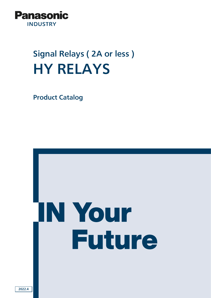

# Signal Relays ( 2A or less ) HY RELAYS

Product Catalog

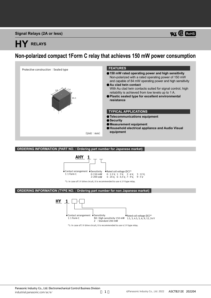**Signal Relays (2A or less)**

# **HY RELAYS**

# **Non-polarized compact 1Form C relay that achieves 150 mW power consumption**



**ORDERING INFORMATION (PART NO. : Ordering part number for Japanese market)**



**ORDERING INFORMATION (TYPE NO. : Ordering part number for non Japanese market)**



\*1: In case of 5 V drive circuit, it is recommended to use 4.5 V type relay.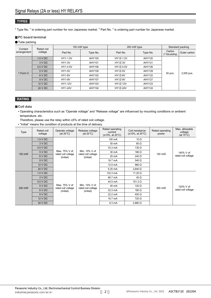#### **TYPES**

" Type No. " is ordering part number for non Japanese market. " Part No. " is ordering part number for Japanese market.

#### **PC board terminal**

#### **O**Tube packing

| Contact<br>arrangement | Rated coil<br>voltage | 150 mW type    |          | 200 mW type     | Standard packing |                            |              |
|------------------------|-----------------------|----------------|----------|-----------------|------------------|----------------------------|--------------|
|                        |                       | Part No.       | Type No. | Part No.        | Type No.         | Carton<br>(1 Tube packing) | Outer carton |
|                        | 1.5 V DC              | HY1-1.5V       | AHY100   | HY1Z-1.5V       | AHY120           | 50 pcs.                    | 2,000 pcs.   |
| 1 Form C               | 3 V DC                | <b>HY1-3V</b>  | AHY101   | <b>HY1Z-3V</b>  | AHY121           |                            |              |
|                        | 4.5 V DC              | HY1-4.5V       | AHY106   | HY1Z-4.5V       | AHY126           |                            |              |
|                        | 5 V DC                | <b>HY1-5V</b>  | AHY109   | <b>HY1Z-5V</b>  | AHY129           |                            |              |
|                        | 6 V DC                | <b>HY1-6V</b>  | AHY102   | HY1Z-6V         | AHY122           |                            |              |
|                        | 9 V DC                | <b>HY1-9V</b>  | AHY107   | <b>HY1Z-9V</b>  | AHY127           |                            |              |
|                        | 12 V DC               | <b>HY1-12V</b> | AHY103   | <b>HY1Z-12V</b> | AHY123           |                            |              |
|                        | 24 V DC               | HY1-24V        | AHY104   | <b>HY1Z-24V</b> | AHY124           |                            |              |

## **RATING**

#### **Coil data**

• Operating characteristics such as "Operate voltage" and "Release voltage" are influenced by mounting conditions or ambient temperature, etc.

Therefore, please use the relay within ±5% of rated coil voltage.

• "Initial" means the condition of products at the time of delivery.

| Type   | Rated coil<br>voltage | Operate voltage<br>(at $20^{\circ}$ C)           | Release voltage<br>(at $20^{\circ}$ C)           | Rated operating<br>current<br>$(\pm 10\%, \text{ at } 20^{\circ}\text{C})$ | Coil resistance<br>$(\pm 10\%, \text{ at } 20^{\circ}\text{C})$ | Rated operating<br>power | Max. allowable<br>voltage<br>(at $70^{\circ}$ C) |
|--------|-----------------------|--------------------------------------------------|--------------------------------------------------|----------------------------------------------------------------------------|-----------------------------------------------------------------|--------------------------|--------------------------------------------------|
|        | 1.5 V DC              |                                                  | Min. 10% V of<br>rated coil voltage<br>(Initial) | 100 mA                                                                     | 15 $\Omega$                                                     | 150 mW                   | 140% V of<br>rated coil voltage                  |
|        | 3 V DC                |                                                  |                                                  | 50 mA                                                                      | $60 \Omega$                                                     |                          |                                                  |
|        | 4.5 V DC              |                                                  |                                                  | 33.3 mA                                                                    | 135 $\Omega$                                                    |                          |                                                  |
| 150 mW | 5 V DC                | Max. 75% V of<br>rated coil voltage<br>(Initial) |                                                  | 30 mA                                                                      | $166 \Omega$                                                    |                          |                                                  |
|        | 6 V DC                |                                                  |                                                  | 25 mA                                                                      | 240 $\Omega$                                                    |                          |                                                  |
|        | 9 V DC                |                                                  |                                                  | 16.7 mA                                                                    | 540 $\Omega$                                                    |                          |                                                  |
|        | 12 V DC               |                                                  |                                                  | 12.5 mA                                                                    | 960 $\Omega$                                                    |                          |                                                  |
|        | 24 V DC               |                                                  |                                                  | $6.25 \text{ mA}$                                                          | $3,840$ $\Omega$                                                |                          |                                                  |
|        | 1.5 V DC              | Max. 75% V of<br>rated coil voltage<br>(Initial) | Min. 10% V of<br>rated coil voltage<br>(Initial) | 133.3 mA                                                                   | 11.25 $\Omega$                                                  | 200 mW                   | 120% V of<br>rated coil voltage                  |
| 200 mW | 3 V DC                |                                                  |                                                  | 66.7 mA                                                                    | 45 $\Omega$                                                     |                          |                                                  |
|        | 4.5 V DC              |                                                  |                                                  | 44.5 mA                                                                    | 101.2 $\Omega$                                                  |                          |                                                  |
|        | 5 V DC                |                                                  |                                                  | 40 mA                                                                      | 125 $\Omega$                                                    |                          |                                                  |
|        | 6 V DC                |                                                  |                                                  | 33.3 mA                                                                    | 180 $\Omega$                                                    |                          |                                                  |
|        | 9VDC                  |                                                  |                                                  | 22.2 mA                                                                    | $405 \Omega$                                                    |                          |                                                  |
|        | 12 V DC               |                                                  |                                                  | 16.7 mA                                                                    | $720 \Omega$                                                    |                          |                                                  |
|        | 24 V DC               |                                                  |                                                  | 8.3 mA                                                                     | 2,880 $\Omega$                                                  |                          |                                                  |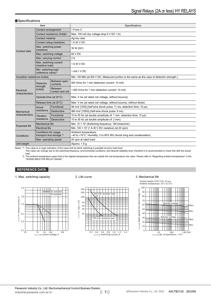#### **Specifications**

| Item                                                            |                                            |                                    | Specifications                                                                                      |  |  |  |  |
|-----------------------------------------------------------------|--------------------------------------------|------------------------------------|-----------------------------------------------------------------------------------------------------|--|--|--|--|
|                                                                 | Contact arrangement                        |                                    | 1 Form C                                                                                            |  |  |  |  |
|                                                                 | Contact resistance (initial)               |                                    | Max. 100 m $\Omega$ (by voltage drop 6 V DC 1 A)                                                    |  |  |  |  |
|                                                                 | Contact material                           |                                    | Aq+Au clad                                                                                          |  |  |  |  |
|                                                                 |                                            | Contact rating (resistive)         | 1 A 30 V DC                                                                                         |  |  |  |  |
| Contact data                                                    | Max. switching power<br>(resistive)        |                                    | 30 W (DC)                                                                                           |  |  |  |  |
|                                                                 | Max. switching voltage                     |                                    | 60 V DC                                                                                             |  |  |  |  |
|                                                                 | Max. carrying current                      |                                    | 2A                                                                                                  |  |  |  |  |
|                                                                 | Max. switching current<br>(resistive load) |                                    | 1 A 30 V DC                                                                                         |  |  |  |  |
|                                                                 | Min. switching load<br>(reference value)*1 |                                    | 1 mA 1 V DC                                                                                         |  |  |  |  |
| Insulation resistance (initial)                                 |                                            |                                    | Min. 100 M $\Omega$ (at 500 V DC, Measured portion is the same as the case of dielectric strength.) |  |  |  |  |
|                                                                 | <b>Dielectric</b><br>strength<br>(initial) | Between open<br>contacts           | 500 Vrms for 1 min (detection current: 10 mA)                                                       |  |  |  |  |
| Electrical<br>characteristics                                   |                                            | <b>Between</b><br>contact and coil | 1,000 Vrms for 1 min (detection current: 10 mA)                                                     |  |  |  |  |
|                                                                 | Operate time (at 20°C)                     |                                    | Max. 5 ms (at rated coil voltage, without bounce)                                                   |  |  |  |  |
|                                                                 | Release time (at 20°C)                     |                                    | Max. 4 ms (at rated coil voltage, without bounce, without diode)                                    |  |  |  |  |
|                                                                 | Shock                                      | Functional                         | 98 m/s <sup>2</sup> [10G] (half-sine shock pulse: 11 ms, detection time: 10 µs)                     |  |  |  |  |
| Mechanical                                                      | resistance                                 | <b>Destructive</b>                 | 980 m/s <sup>2</sup> [100G] (half-sine shock pulse: 6 ms)                                           |  |  |  |  |
| characteristics                                                 | Vibration                                  | Functional                         | 10 to 55 Hz (at double amplitude of: 1 mm, detection time: 10 µs)                                   |  |  |  |  |
|                                                                 | resistance                                 | Destructive                        | 10 to 55 Hz (at double amplitude of: 2 mm)                                                          |  |  |  |  |
| Mechanical life<br><b>Expected life</b>                         |                                            |                                    | Min. $10 \times 10^6$ (Switching frequency: 180 times/min)                                          |  |  |  |  |
|                                                                 | <b>Electrical life</b>                     |                                    | Min. $100 \times 10^3$ (1 A 30 V DC resistive) (at 20 cpm)                                          |  |  |  |  |
| Conditions for usage,<br>transport and storage *2<br>Conditions |                                            |                                    | Ambient temperature:<br>-40 to +70°C, Humidity: 5 to 85% RH (Avoid icing and condensation)          |  |  |  |  |
|                                                                 | Max. operating speed                       |                                    | 20 cpm at rated load                                                                                |  |  |  |  |
| Unit weight                                                     |                                            |                                    | Approx. 1.8 g                                                                                       |  |  |  |  |

Notes: \*1. This value is a rough indication of the lower limit at which switching is possible at micro load level. This value can change due to the switching frequency, environmental conditions, and desired reliability level, therefore it is recommended to check this with the actual load.

\*2. The ambient temperature upper limit is the highest temperature that can satisfy the coil temperature rise value. Please refer to "Regarding ambient temperature" in the "GUIDELINES FOR RELAY USAGE".

#### **REFERENCE DATA**

1. Max. switching capacity



#### 2. Life curve



#### 3. Mechanical life

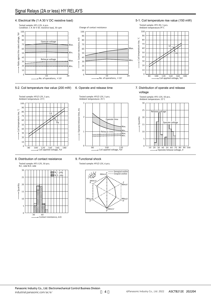## Signal Relays (2A or less) HY RELAYS

#### 4. Electrical life (1 A 30 V DC resistive load)



Operate/release time, ms

Operate/release time,

Ě

1

 $\overline{\phantom{a}}$ 

3

#### 5-2. Coil temperature rise value (200 mW)



#### 8. Distribution of contact resistance



#### 9. Functional shock

Tested sample: HY1Z-12V, 6 pcs.

6. Operate and release time

Tested sample: HY1Z-12V, 5 pcs. Ambient temperature: 25゚C



Coil applied voltage, %V <sup>80</sup> 100 120 <sup>0</sup>

Release time

eestees:

Operate time

Max.<br>Min. Min. Max.

5-1. Coil temperature rise value (150 mW)



#### 7. Distribution of operate and release voltage



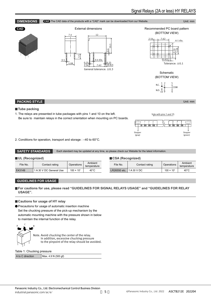### **DIMENSIONS CAD** The CAD data of the products with a "CAD" mark can be downloaded from our Website. Unit: mm

**CAD** External dimensions Recommended PC board pattern (BOTTOM VIEW)







Schematic (BOTTOM VIEW)

N.C. N.O. 1 10 9 6 2 5  $\int_C$ сом

#### **PACKING STYLE** Unit: mm

#### **Tube packing**

1. The relays are presented in tube packages with pins 1 and 10 on the left. Be sure to maintain relays in the correct orientation when mounting on PC boards.





2. Conditions for operation, transport and storage : –40 to 60°C.

**SAFETY STANDARDS** Each standard may be updated at any time, so please check our Website for the latest information.

#### **UL (Recognized)**

| UL (Recognized) |                         |                     |                        | CSA (Recognized) |              |                |                     |                        |
|-----------------|-------------------------|---------------------|------------------------|------------------|--------------|----------------|---------------------|------------------------|
| File No.        | Contact rating          | Operations          | Ambient<br>temperature |                  | File No.     | Contact rating | Operations          | Ambient<br>temperature |
| E43149          | 1 A 30 V DC General Use | $100 \times 10^{3}$ | $40^{\circ}$ C         |                  | LR26550 etc. | 1 A 30 V DC    | $100 \times 10^{3}$ | $40^{\circ}$ C         |

#### **GUIDELINES FOR USAGE**

**For cautions for use, please read "GUIDELINES FOR SIGNAL RELAYS USAGE" and "GUIDELINES FOR RELAY USAGE".**

#### **Cautions for usage of HY relay**

Precautions for usage of automatic insertion machine

Set the chucking pressure of the pick-up mechanism by the automatic mounting machine with the pressure shown in below to maintain the internal function of the relay.



Table 1: Chucking pressure

| A to C direction | Max. 4.9 N (500 gf) |
|------------------|---------------------|
|------------------|---------------------|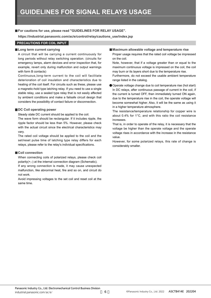#### **For cautions for use, please read "GUIDELINES FOR RELAY USAGE".**

**https://industrial.panasonic.com/ac/e/control/relay/cautions\_use/index.jsp**

#### **PRECAUTIONS FOR COIL INPUT**

#### **Long term current carrying**

A circuit that will be carrying a current continuously for long periods without relay switching operation. (circuits for emergency lamps, alarm devices and error inspection that, for example, revert only during malfunction and output warnings with form B contacts)

Continuous,long-term current to the coil will facilitate deterioration of coil insulation and characteristics due to heating of the coil itself. For circuits such as these, please use a magnetic-hold type latching relay. If you need to use a single stable relay, use a sealed type relay that is not easily affected by ambient conditions and make a failsafe circuit design that considers the possibility of contact failure or disconnection.

#### **DC Coil operating power**

Steady state DC current should be applied to the coil.

The wave form should be rectangular. If it includes ripple, the ripple factor should be less than 5%. However, please check with the actual circuit since the electrical characteristics may vary.

The rated coil voltage should be applied to the coil and the set/reset pulse time of latching type relay differs for each relays, please refer to the relay's individual specifications.

#### **Coil connection**

When connecting coils of polarized relays, please check coil polarity(+,-) at the internal connection diagram (Schematic).

If any wrong connection is made, it may cause unexpected malfunction, like abnormal heat, fire and so on, and circuit do not work.

Avoid impressing voltages to the set coil and reset coil at the same time.

#### **Maximum allowable voltage and temperature rise**

Proper usage requires that the rated coil voltage be impressed on the coil.

Note, however, that if a voltage greater than or equal to the maximum continuous voltage is impressed on the coil, the coil may burn or its layers short due to the temperature rise.

Furthermore, do not exceed the usable ambient temperature range listed in the catalog.

Operate voltage change due to coil temperature rise (hot start) In DC relays, after continuous passage of current in the coil, if the current is turned OFF, then immediately turned ON again, due to the temperature rise in the coil, the operate voltage will become somewhat higher. Also, it will be the same as using it in a higher temperature atmosphere.

The resistance/temperature relationship for copper wire is about 0.4% for 1°C, and with this ratio the coil resistance increases.

That is, in order to operate of the relay, it is necessary that the voltage be higher than the operate voltage and the operate voltage rises in accordance with the increase in the resistance value.

However, for some polarized relays, this rate of change is considerably smaller.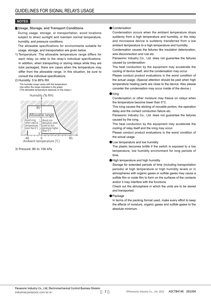#### **NOTES**

#### **Usage, Storage, and Transport Conditions**

During usage, storage, or transportation, avoid locations subject to direct sunlight and maintain normal temperature, humidity, and pressure conditions.

The allowable specifications for environments suitable for usage, storage, and transportation are given below.

1) Temperature: The allowable temperature range differs for each relay, so refer to the relay's individual specifications. In addition, when transporting or storing relays while they are tube packaged, there are cases when the temperature may differ from the allowable range. In this situation, be sure to consult the individual specifications.

#### 2) Humidity: 5 to 85% RH

The humidity range varies with the temperature. Use within the range indicated in the graph. (The allowable temperature depends on the relays.)





3) Pressure: 86 to 106 kPa

#### **Condensation**

Condensation occurs when the ambient temperature drops suddenly from a high temperature and humidity, or the relay and microwave device is suddenly transferred from a low ambient temperature to a high temperature and humidity.

Condensation causes the failures like insulation deterioration, wire disconnection and rust etc.

Panasonic Industry Co., Ltd. does not guarantee the failures caused by condensation.

The heat conduction by the equipment may accelerate the cooling of device itself, and the condensation may occur.

Please conduct product evaluations in the worst condition of the actual usage. (Special attention should be paid when high temperature heating parts are close to the device. Also please consider the condensation may occur inside of the device.)

#### $\bullet$ Icing

Condensation or other moisture may freeze on relays when the temperature become lower than 0°C.

This icing causes the sticking of movable portion, the operation delay and the contact conduction failure etc.

Panasonic Industry Co., Ltd. does not guarantee the failures caused by the icing.

The heat conduction by the equipment may accelerate the cooling of relay itself and the icing may occur.

Please conduct product evaluations in the worst condition of the actual usage.

#### **OLow temperature and low humidity**

The plastic becomes brittle if the switch is exposed to a low temperature, low humidity environment for long periods of time.

High temperature and high humidity

Storage for extended periods of time (including transportation periods) at high temperature or high humidity levels or in atmospheres with organic gases or sulfide gases may cause a sulfide film or oxide film to form on the surfaces of the contacts and/or it may interfere with the functions.

Check out the atmosphere in which the units are to be stored and transported.

#### **•** Package

In terms of the packing format used, make every effort to keep the effects of moisture, organic gases and sulfide gases to the absolute minimum.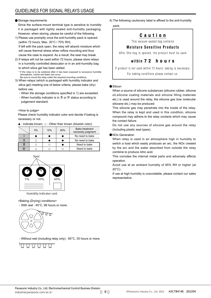#### Storage requirements

Since the surface-mount terminal type is sensitive to humidity it is packaged with tightly sealed anti-humidity packaging. However, when storing, please be careful of the following.

- 1) Please use promptly once the anti-humidity pack is opened. (within 72 hours, Max. 30°C / 70% RH). If left with the pack open, the relay will absorb moisture which will cause thermal stress when reflow mounting and thus cause the case to expand. As a result, the seal may break.
- 2) If relays will not be used within 72 hours, please store relays in a humidity controlled desiccator or in an anti-humidity bag to which silica gel has been added.

\* If the relay is to be soldered after it has been exposed to excessive humidity atmosphere, cracks and leaks can occur. Be sure to mount the relay under the required mounting conditions.

- 3) When relays (which is packaged with humidity indicator and silica gel) meeting one of below criteria, please bake (dry) before use.
	- When the storage conditions specified in 1) are exceeded.
	- When humidity indicator is in Ⅲ or Ⅳ status according to judgement standard.

#### <How to judge>

Please check humidity indicator color and decide if baking is necessary or not.

● : indicate brown, ○ : Other than brown (blueish color)

| 5% | 10% | 60% | <b>Bake treatment</b><br>necessity judgment |
|----|-----|-----|---------------------------------------------|
|    |     |     | No need to bake                             |
|    |     |     | No need to bake                             |
|    |     |     | Need to bake                                |
|    |     |     | Need to bake                                |



Humidity indicator card

#### <Baking (Drying) conditions>

With reel : 45°C, 96 hours or more.



Without reel (including relay only) : 60°C, 35 hours or more.



4) The following cautionary label is affixed to the anti-humidity pack.

## Caution

This vacuum-sealed bag contains

### **Moisture Sensitive Products**

After this bag is opened, the product must be used

#### within 7 2 hours

If product is not used within 72 hours, baking is necessary. For baking conditions please contact us.

#### **Silicon**

When a source of silicone substances (silicone rubber, silicone oil,silicone coating materials and silicone filling materials etc.) is used around the relay, the silicone gas (low molecular siloxane etc.) may be produced

This silicone gas may penetrate into the inside of the relay. When the relay is kept and used in this condition, silicone compound may adhere to the relay contacts which may cause the contact failure.

Do not use any sources of silicone gas around the relay (Including plastic seal types).

#### NOx Generation

When relay is used in an atmosphere high in humidity to switch a load which easily produces an arc, the NOx created by the arc and the water absorbed from outside the relay combine to produce nitric acid.

This corrodes the internal metal parts and adversely affects operation.

Avoid use at an ambient humidity of 85% RH or higher (at 20°C).

If use at high humidity is unavoidable, please contact our sales representative.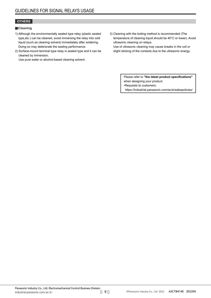#### **OTHERS**

#### **Cleaning**

- 1) Although the environmentally sealed type relay (plastic sealed type,etc.) can be cleaned, avoid immersing the relay into cold liquid (such as cleaning solvent) immediately after soldering. Doing so may deteriorate the sealing performance.
- 2) Surface-mount terminal type relay is sealed type and it can be cleaned by immersion.

Use pure water or alcohol-based cleaning solvent.

3) Cleaning with the boiling method is recommended (The temperature of cleaning liquid should be 40°C or lower). Avoid ultrasonic cleaning on relays.

Use of ultrasonic cleaning may cause breaks in the coil or slight sticking of the contacts due to the ultrasonic energy.

> Please refer to **"the latest product specifications"** when designing your product. •Requests to customers: https://industrial.panasonic.com/ac/e/salespolicies/